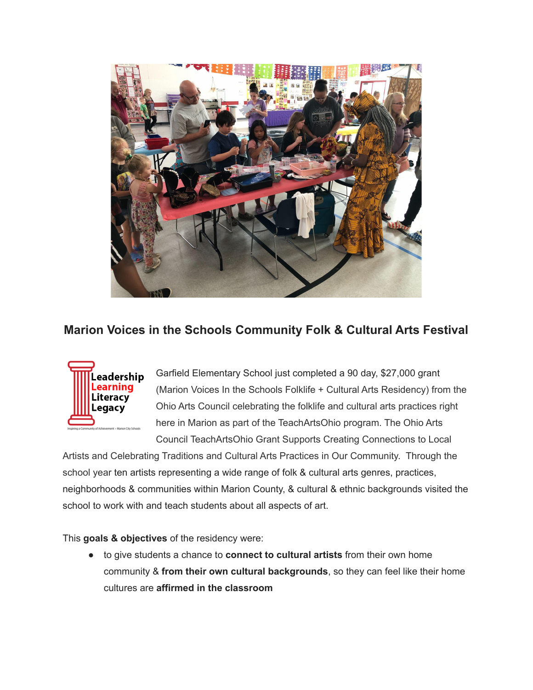

## **Marion Voices in the Schools Community Folk & Cultural Arts Festival**



Garfield Elementary School just completed a 90 day, \$27,000 grant (Marion Voices In the Schools Folklife + Cultural Arts Residency) from the Ohio Arts Council celebrating the folklife and cultural arts practices right here in Marion as part of the TeachArtsOhio program. The Ohio Arts Council TeachArtsOhio Grant Supports Creating Connections to Local

Artists and Celebrating Traditions and Cultural Arts Practices in Our Community. Through the school year ten artists representing a wide range of folk & cultural arts genres, practices, neighborhoods & communities within Marion County, & cultural & ethnic backgrounds visited the school to work with and teach students about all aspects of art.

This **goals & objectives** of the residency were:

● to give students a chance to **connect to cultural artists** from their own home community & **from their own cultural backgrounds**, so they can feel like their home cultures are **affirmed in the classroom**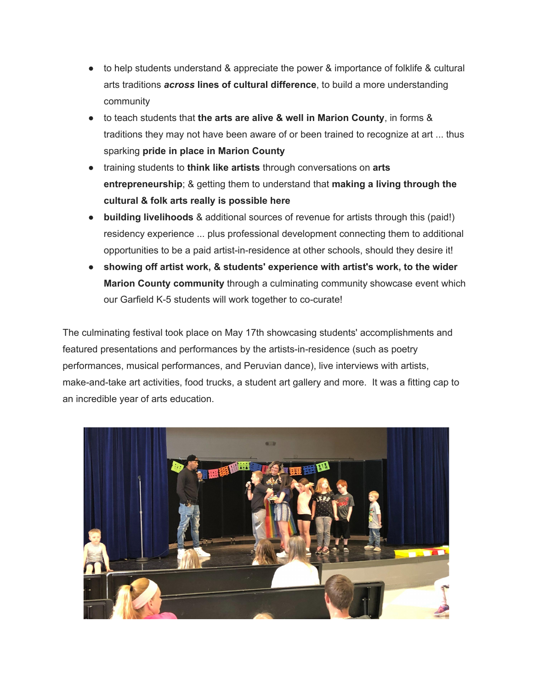- to help students understand & appreciate the power & importance of folklife & cultural arts traditions *across* **lines of cultural difference**, to build a more understanding community
- to teach students that **the arts are alive & well in Marion County**, in forms & traditions they may not have been aware of or been trained to recognize at art ... thus sparking **pride in place in Marion County**
- training students to **think like artists** through conversations on **arts entrepreneurship**; & getting them to understand that **making a living through the cultural & folk arts really is possible here**
- **building livelihoods** & additional sources of revenue for artists through this (paid!) residency experience ... plus professional development connecting them to additional opportunities to be a paid artist-in-residence at other schools, should they desire it!
- **showing off artist work, & students' experience with artist's work, to the wider Marion County community** through a culminating community showcase event which our Garfield K-5 students will work together to co-curate!

The culminating festival took place on May 17th showcasing students' accomplishments and featured presentations and performances by the artists-in-residence (such as poetry performances, musical performances, and Peruvian dance), live interviews with artists, make-and-take art activities, food trucks, a student art gallery and more. It was a fitting cap to an incredible year of arts education.

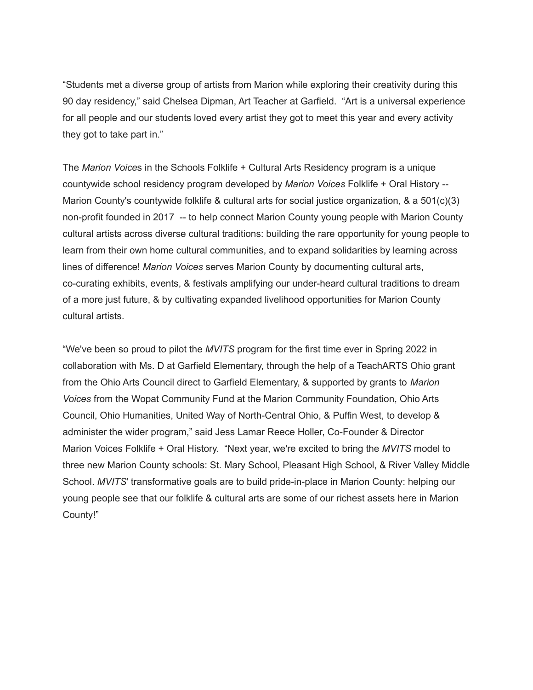"Students met a diverse group of artists from Marion while exploring their creativity during this 90 day residency," said Chelsea Dipman, Art Teacher at Garfield. "Art is a universal experience for all people and our students loved every artist they got to meet this year and every activity they got to take part in."

The *Marion Voice*s in the Schools Folklife + Cultural Arts Residency program is a unique countywide school residency program developed by *Marion Voices* Folklife + Oral History -- Marion County's countywide folklife & cultural arts for social justice organization, & a 501(c)(3) non-profit founded in 2017 -- to help connect Marion County young people with Marion County cultural artists across diverse cultural traditions: building the rare opportunity for young people to learn from their own home cultural communities, and to expand solidarities by learning across lines of difference! *Marion Voices* serves Marion County by documenting cultural arts, co-curating exhibits, events, & festivals amplifying our under-heard cultural traditions to dream of a more just future, & by cultivating expanded livelihood opportunities for Marion County cultural artists.

"We've been so proud to pilot the *MVITS* program for the first time ever in Spring 2022 in collaboration with Ms. D at Garfield Elementary, through the help of a TeachARTS Ohio grant from the Ohio Arts Council direct to Garfield Elementary, & supported by grants to *Marion Voices* from the Wopat Community Fund at the Marion Community Foundation, Ohio Arts Council, Ohio Humanities, United Way of North-Central Ohio, & Puffin West, to develop & administer the wider program," said Jess Lamar Reece Holler, Co-Founder & Director Marion Voices Folklife + Oral History. "Next year, we're excited to bring the *MVITS* model to three new Marion County schools: St. Mary School, Pleasant High School, & River Valley Middle School. *MVITS*' transformative goals are to build pride-in-place in Marion County: helping our young people see that our folklife & cultural arts are some of our richest assets here in Marion County!"